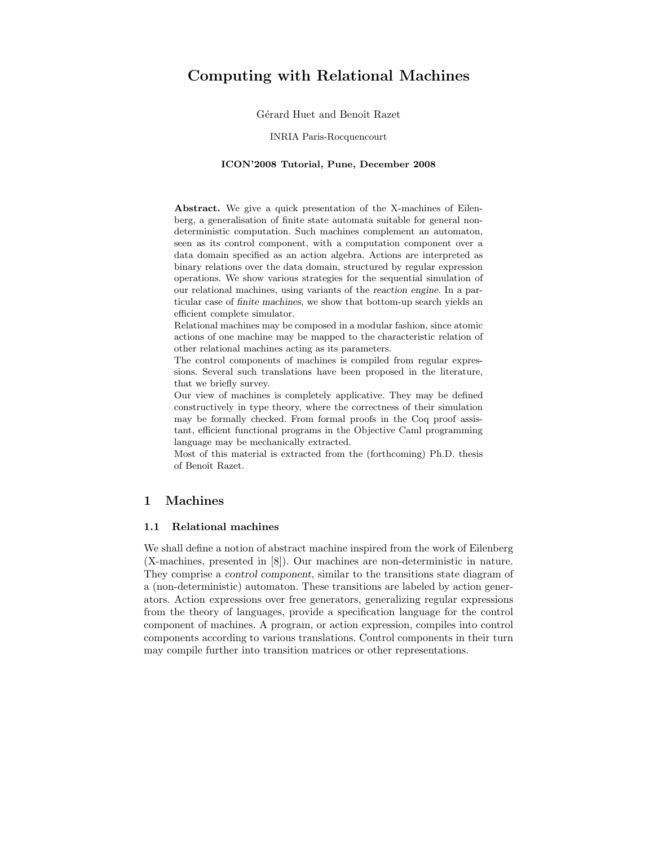# Computing with Relational Machines

Gérard Huet and Benoît Razet

#### INRIA Paris-Rocquencourt

#### ICON'2008 Tutorial, Pune, December 2008

Abstract. We give a quick presentation of the X-machines of Eilenberg, a generalisation of finite state automata suitable for general nondeterministic computation. Such machines complement an automaton, seen as its control component, with a computation component over a data domain specified as an action algebra. Actions are interpreted as binary relations over the data domain, structured by regular expression operations. We show various strategies for the sequential simulation of our relational machines, using variants of the reaction engine. In a particular case of finite machines, we show that bottom-up search yields an efficient complete simulator.

Relational machines may be composed in a modular fashion, since atomic actions of one machine may be mapped to the characteristic relation of other relational machines acting as its parameters.

The control components of machines is compiled from regular expressions. Several such translations have been proposed in the literature, that we briefly survey.

Our view of machines is completely applicative. They may be defined constructively in type theory, where the correctness of their simulation may be formally checked. From formal proofs in the Coq proof assistant, efficient functional programs in the Objective Caml programming language may be mechanically extracted.

Most of this material is extracted from the (forthcoming) Ph.D. thesis of Benoît Razet.

# 1 Machines

# 1.1 Relational machines

We shall define a notion of abstract machine inspired from the work of Eilenberg (X-machines, presented in [8]). Our machines are non-deterministic in nature. They comprise a control component, similar to the transitions state diagram of a (non-deterministic) automaton. These transitions are labeled by action generators. Action expressions over free generators, generalizing regular expressions from the theory of languages, provide a specification language for the control component of machines. A program, or action expression, compiles into control components according to various translations. Control components in their turn may compile further into transition matrices or other representations.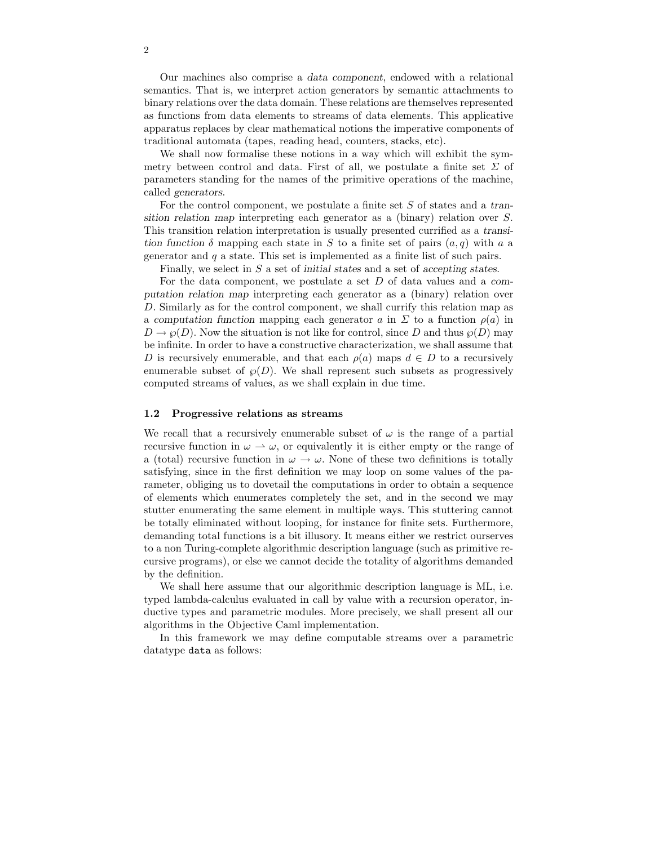Our machines also comprise a data component, endowed with a relational semantics. That is, we interpret action generators by semantic attachments to binary relations over the data domain. These relations are themselves represented as functions from data elements to streams of data elements. This applicative apparatus replaces by clear mathematical notions the imperative components of traditional automata (tapes, reading head, counters, stacks, etc).

We shall now formalise these notions in a way which will exhibit the symmetry between control and data. First of all, we postulate a finite set  $\Sigma$  of parameters standing for the names of the primitive operations of the machine, called generators.

For the control component, we postulate a finite set S of states and a transition relation map interpreting each generator as a (binary) relation over S. This transition relation interpretation is usually presented currified as a transition function  $\delta$  mapping each state in S to a finite set of pairs  $(a, q)$  with a a generator and  $q$  a state. This set is implemented as a finite list of such pairs.

Finally, we select in S a set of initial states and a set of accepting states.

For the data component, we postulate a set  $D$  of data values and a computation relation map interpreting each generator as a (binary) relation over D. Similarly as for the control component, we shall currify this relation map as a computation function mapping each generator a in  $\Sigma$  to a function  $\rho(a)$  in  $D \to \varphi(D)$ . Now the situation is not like for control, since D and thus  $\varphi(D)$  may be infinite. In order to have a constructive characterization, we shall assume that D is recursively enumerable, and that each  $\rho(a)$  maps  $d \in D$  to a recursively enumerable subset of  $\wp(D)$ . We shall represent such subsets as progressively computed streams of values, as we shall explain in due time.

#### 1.2 Progressive relations as streams

We recall that a recursively enumerable subset of  $\omega$  is the range of a partial recursive function in  $\omega \to \omega$ , or equivalently it is either empty or the range of a (total) recursive function in  $\omega \to \omega$ . None of these two definitions is totally satisfying, since in the first definition we may loop on some values of the parameter, obliging us to dovetail the computations in order to obtain a sequence of elements which enumerates completely the set, and in the second we may stutter enumerating the same element in multiple ways. This stuttering cannot be totally eliminated without looping, for instance for finite sets. Furthermore, demanding total functions is a bit illusory. It means either we restrict ourserves to a non Turing-complete algorithmic description language (such as primitive recursive programs), or else we cannot decide the totality of algorithms demanded by the definition.

We shall here assume that our algorithmic description language is ML, i.e. typed lambda-calculus evaluated in call by value with a recursion operator, inductive types and parametric modules. More precisely, we shall present all our algorithms in the Objective Caml implementation.

In this framework we may define computable streams over a parametric datatype data as follows: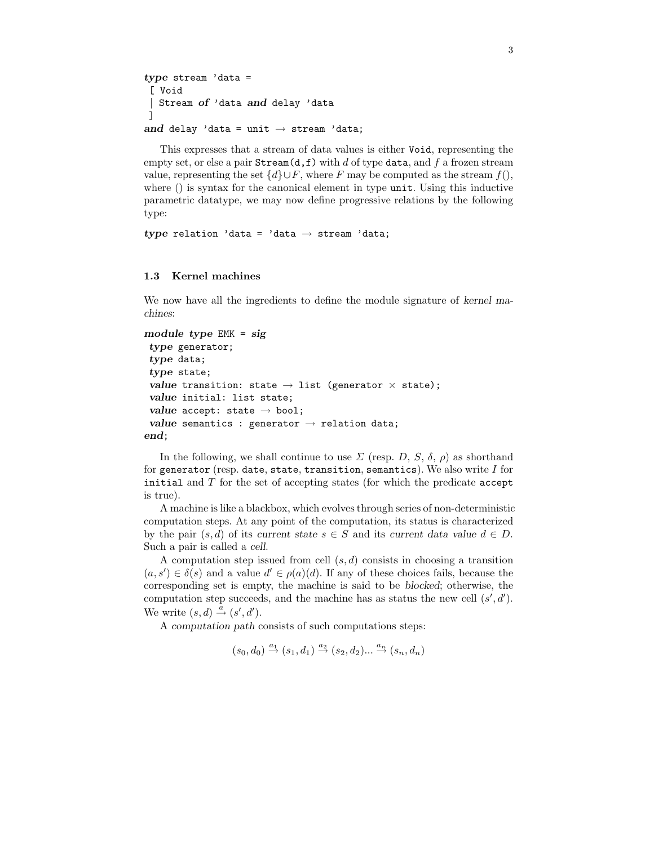```
type stream 'data =
 [ Void
| Stream of 'data and delay 'data
]
and delay 'data = unit \rightarrow stream 'data;
```
This expresses that a stream of data values is either Void, representing the empty set, or else a pair  $\texttt{Stream}(d, f)$  with d of type data, and f a frozen stream value, representing the set  $\{d\} \cup F$ , where F may be computed as the stream  $f(.)$ where () is syntax for the canonical element in type unit. Using this inductive parametric datatype, we may now define progressive relations by the following type:

type relation 'data = 'data  $\rightarrow$  stream 'data;

# 1.3 Kernel machines

We now have all the ingredients to define the module signature of kernel machines:

```
module type EMK = sig
 type generator;
 type data;
 type state;
 value transition: state \rightarrow list (generator \times state);
 value initial: list state;
 value accept: state \rightarrow bool;
 value semantics : generator \rightarrow relation data;
end;
```
In the following, we shall continue to use  $\Sigma$  (resp. D, S,  $\delta$ ,  $\rho$ ) as shorthand for generator (resp. date, state, transition, semantics). We also write  $I$  for initial and  $T$  for the set of accepting states (for which the predicate accept is true).

A machine is like a blackbox, which evolves through series of non-deterministic computation steps. At any point of the computation, its status is characterized by the pair  $(s, d)$  of its current state  $s \in S$  and its current data value  $d \in D$ . Such a pair is called a cell.

A computation step issued from cell  $(s, d)$  consists in choosing a transition  $(a, s') \in \delta(s)$  and a value  $d' \in \rho(a)(d)$ . If any of these choices fails, because the corresponding set is empty, the machine is said to be blocked; otherwise, the computation step succeeds, and the machine has as status the new cell  $(s', d')$ . We write  $(s, d) \stackrel{a}{\rightarrow} (s', d').$ 

A computation path consists of such computations steps:

 $(s_0, d_0) \stackrel{a_1}{\rightarrow} (s_1, d_1) \stackrel{a_2}{\rightarrow} (s_2, d_2) \dots \stackrel{a_n}{\rightarrow} (s_n, d_n)$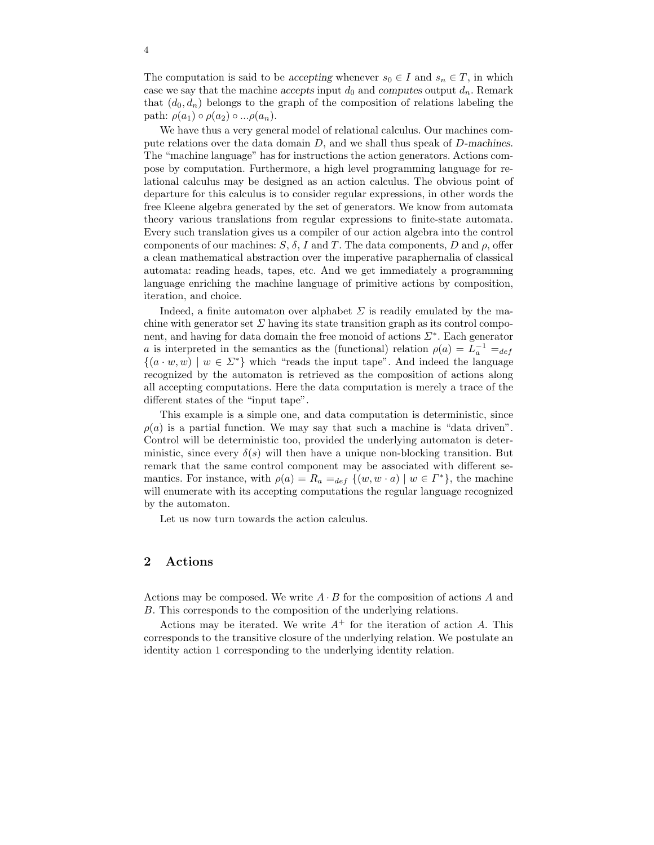The computation is said to be accepting whenever  $s_0 \in I$  and  $s_n \in T$ , in which case we say that the machine accepts input  $d_0$  and computes output  $d_n$ . Remark that  $(d_0, d_n)$  belongs to the graph of the composition of relations labeling the path:  $\rho(a_1) \circ \rho(a_2) \circ ... \rho(a_n)$ .

We have thus a very general model of relational calculus. Our machines compute relations over the data domain  $D$ , and we shall thus speak of  $D$ -machines. The "machine language" has for instructions the action generators. Actions compose by computation. Furthermore, a high level programming language for relational calculus may be designed as an action calculus. The obvious point of departure for this calculus is to consider regular expressions, in other words the free Kleene algebra generated by the set of generators. We know from automata theory various translations from regular expressions to finite-state automata. Every such translation gives us a compiler of our action algebra into the control components of our machines:  $S$ ,  $\delta$ , I and T. The data components, D and  $\rho$ , offer a clean mathematical abstraction over the imperative paraphernalia of classical automata: reading heads, tapes, etc. And we get immediately a programming language enriching the machine language of primitive actions by composition, iteration, and choice.

Indeed, a finite automaton over alphabet  $\Sigma$  is readily emulated by the machine with generator set  $\Sigma$  having its state transition graph as its control component, and having for data domain the free monoid of actions Σ<sup>∗</sup> . Each generator a is interpreted in the semantics as the (functional) relation  $\rho(a) = L_a^{-1} =_{def}$  $\{(a \cdot w, w) \mid w \in \Sigma^*\}$  which "reads the input tape". And indeed the language recognized by the automaton is retrieved as the composition of actions along all accepting computations. Here the data computation is merely a trace of the different states of the "input tape".

This example is a simple one, and data computation is deterministic, since  $\rho(a)$  is a partial function. We may say that such a machine is "data driven". Control will be deterministic too, provided the underlying automaton is deterministic, since every  $\delta(s)$  will then have a unique non-blocking transition. But remark that the same control component may be associated with different semantics. For instance, with  $\rho(a) = R_a =_{def} \{(w, w \cdot a) \mid w \in \Gamma^*\}$ , the machine will enumerate with its accepting computations the regular language recognized by the automaton.

Let us now turn towards the action calculus.

# 2 Actions

Actions may be composed. We write  $A \cdot B$  for the composition of actions A and B. This corresponds to the composition of the underlying relations.

Actions may be iterated. We write  $A^+$  for the iteration of action A. This corresponds to the transitive closure of the underlying relation. We postulate an identity action 1 corresponding to the underlying identity relation.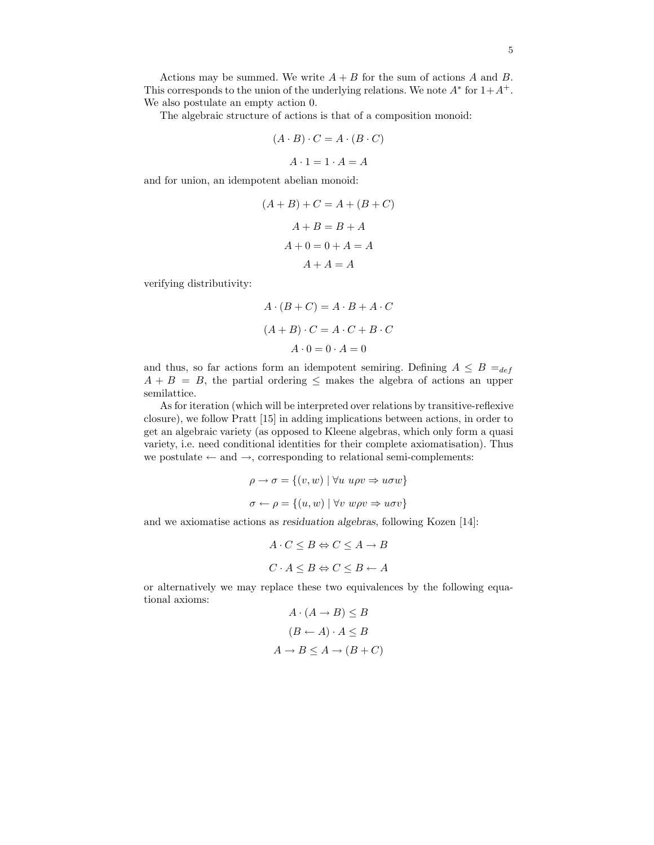Actions may be summed. We write  $A + B$  for the sum of actions A and B. This corresponds to the union of the underlying relations. We note  $A^*$  for  $1+A^+$ . We also postulate an empty action 0.

The algebraic structure of actions is that of a composition monoid:

$$
(A \cdot B) \cdot C = A \cdot (B \cdot C)
$$

$$
A \cdot 1 = 1 \cdot A = A
$$

and for union, an idempotent abelian monoid:

$$
(A + B) + C = A + (B + C)
$$

$$
A + B = B + A
$$

$$
A + 0 = 0 + A = A
$$

$$
A + A = A
$$

verifying distributivity:

$$
A \cdot (B + C) = A \cdot B + A \cdot C
$$

$$
(A + B) \cdot C = A \cdot C + B \cdot C
$$

$$
A \cdot 0 = 0 \cdot A = 0
$$

and thus, so far actions form an idempotent semiring. Defining  $A \leq B =_{def}$  $A + B = B$ , the partial ordering  $\leq$  makes the algebra of actions an upper semilattice.

As for iteration (which will be interpreted over relations by transitive-reflexive closure), we follow Pratt [15] in adding implications between actions, in order to get an algebraic variety (as opposed to Kleene algebras, which only form a quasi variety, i.e. need conditional identities for their complete axiomatisation). Thus we postulate  $\leftarrow$  and  $\rightarrow$ , corresponding to relational semi-complements:

$$
\rho \to \sigma = \{(v, w) \mid \forall u \ u \rho v \Rightarrow u \sigma w \}
$$

$$
\sigma \leftarrow \rho = \{(u, w) \mid \forall v \ w \rho v \Rightarrow u \sigma v \}
$$

and we axiomatise actions as residuation algebras, following Kozen [14]:

$$
A \cdot C \leq B \Leftrightarrow C \leq A \to B
$$
  

$$
C \cdot A \leq B \Leftrightarrow C \leq B \leftarrow A
$$

or alternatively we may replace these two equivalences by the following equational axioms:

$$
A \cdot (A \to B) \le B
$$

$$
(B \leftarrow A) \cdot A \le B
$$

$$
A \to B \le A \to (B + C)
$$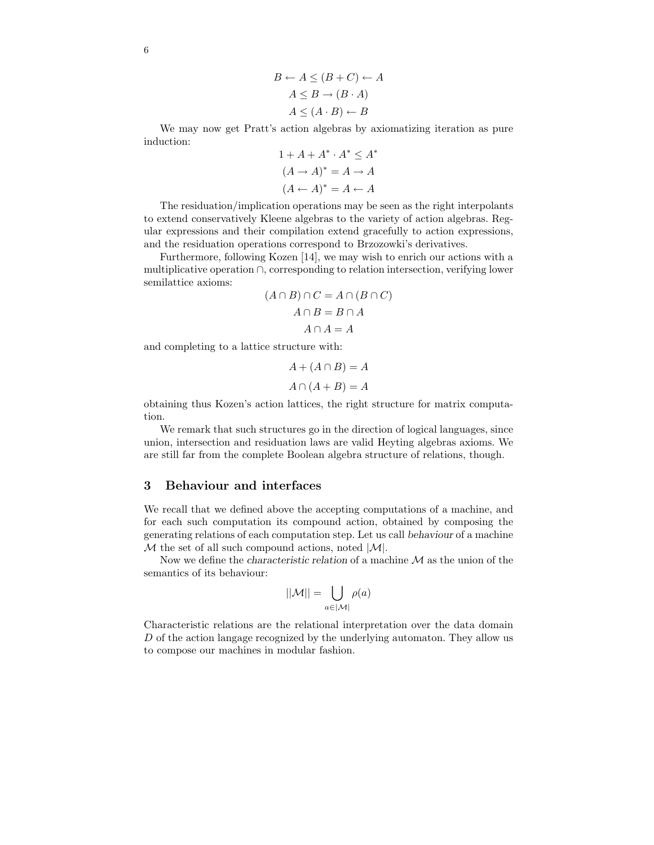$$
B \leftarrow A \le (B + C) \leftarrow A
$$

$$
A \le B \rightarrow (B \cdot A)
$$

$$
A \le (A \cdot B) \leftarrow B
$$

We may now get Pratt's action algebras by axiomatizing iteration as pure induction:

$$
1 + A + A^* \cdot A^* \le A^*
$$

$$
(A \to A)^* = A \to A
$$

$$
(A \leftarrow A)^* = A \leftarrow A
$$

The residuation/implication operations may be seen as the right interpolants to extend conservatively Kleene algebras to the variety of action algebras. Regular expressions and their compilation extend gracefully to action expressions, and the residuation operations correspond to Brzozowki's derivatives.

Furthermore, following Kozen [14], we may wish to enrich our actions with a multiplicative operation ∩, corresponding to relation intersection, verifying lower semilattice axioms:

$$
(A \cap B) \cap C = A \cap (B \cap C)
$$

$$
A \cap B = B \cap A
$$

$$
A \cap A = A
$$

and completing to a lattice structure with:

$$
A + (A \cap B) = A
$$

$$
A \cap (A + B) = A
$$

obtaining thus Kozen's action lattices, the right structure for matrix computation.

We remark that such structures go in the direction of logical languages, since union, intersection and residuation laws are valid Heyting algebras axioms. We are still far from the complete Boolean algebra structure of relations, though.

# 3 Behaviour and interfaces

We recall that we defined above the accepting computations of a machine, and for each such computation its compound action, obtained by composing the generating relations of each computation step. Let us call behaviour of a machine  $M$  the set of all such compound actions, noted  $|M|$ .

Now we define the *characteristic relation* of a machine  $M$  as the union of the semantics of its behaviour:

$$
||\mathcal{M}|| = \bigcup_{a \in |\mathcal{M}|} \rho(a)
$$

Characteristic relations are the relational interpretation over the data domain D of the action langage recognized by the underlying automaton. They allow us to compose our machines in modular fashion.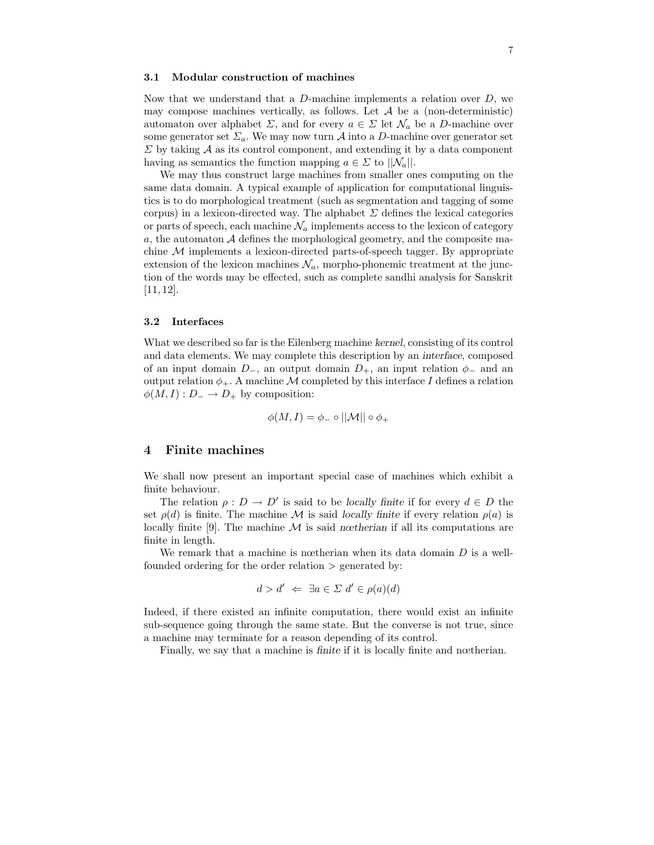#### 3.1 Modular construction of machines

Now that we understand that a  $D$ -machine implements a relation over  $D$ , we may compose machines vertically, as follows. Let  $A$  be a (non-deterministic) automaton over alphabet  $\Sigma$ , and for every  $a \in \Sigma$  let  $\mathcal{N}_a$  be a D-machine over some generator set  $\Sigma_a$ . We may now turn A into a D-machine over generator set  $\Sigma$  by taking  $\mathcal A$  as its control component, and extending it by a data component having as semantics the function mapping  $a \in \Sigma$  to  $||\mathcal{N}_a||$ .

We may thus construct large machines from smaller ones computing on the same data domain. A typical example of application for computational linguistics is to do morphological treatment (such as segmentation and tagging of some corpus) in a lexicon-directed way. The alphabet  $\Sigma$  defines the lexical categories or parts of speech, each machine  $\mathcal{N}_a$  implements access to the lexicon of category  $a$ , the automaton  $A$  defines the morphological geometry, and the composite machine M implements a lexicon-directed parts-of-speech tagger. By appropriate extension of the lexicon machines  $\mathcal{N}_a$ , morpho-phonemic treatment at the junction of the words may be effected, such as complete sandhi analysis for Sanskrit [11, 12].

#### 3.2 Interfaces

What we described so far is the Eilenberg machine kernel, consisting of its control and data elements. We may complete this description by an interface, composed of an input domain  $D_$ , an output domain  $D_+$ , an input relation  $\phi_-$  and an output relation  $\phi_+$ . A machine M completed by this interface I defines a relation  $\phi(M, I) : D_- \to D_+$  by composition:

$$
\phi(M,I) = \phi_- \circ ||\mathcal{M}|| \circ \phi_+
$$

### 4 Finite machines

We shall now present an important special case of machines which exhibit a finite behaviour.

The relation  $\rho: D \to D'$  is said to be locally finite if for every  $d \in D$  the set  $\rho(d)$  is finite. The machine M is said locally finite if every relation  $\rho(a)$  is locally finite [9]. The machine  $M$  is said nœtherian if all its computations are finite in length.

We remark that a machine is notherian when its data domain  $D$  is a wellfounded ordering for the order relation > generated by:

$$
d > d' \iff \exists a \in \Sigma \ d' \in \rho(a)(d)
$$

Indeed, if there existed an infinite computation, there would exist an infinite sub-sequence going through the same state. But the converse is not true, since a machine may terminate for a reason depending of its control.

Finally, we say that a machine is finite if it is locally finite and nœtherian.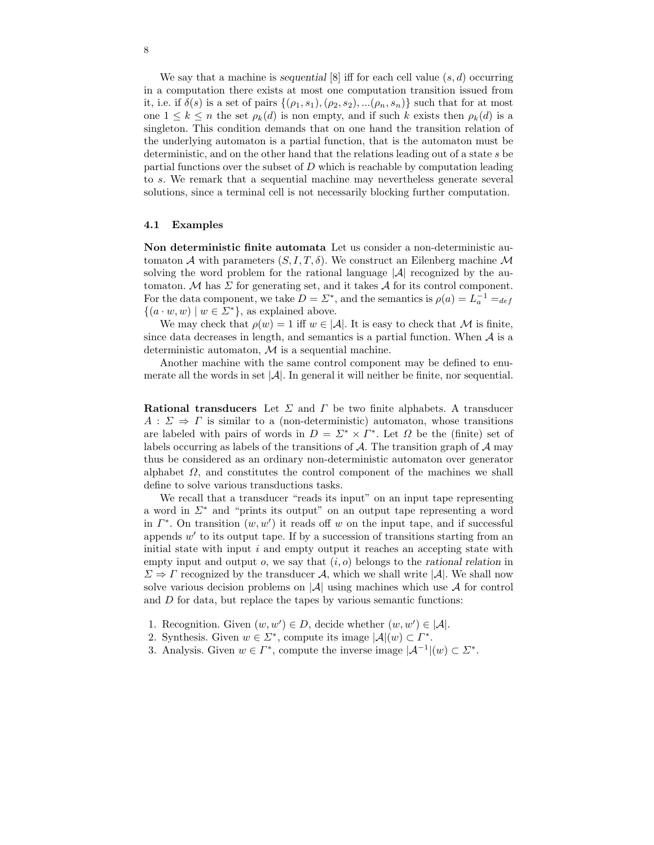We say that a machine is sequential [8] iff for each cell value  $(s, d)$  occurring in a computation there exists at most one computation transition issued from it, i.e. if  $\delta(s)$  is a set of pairs  $\{(\rho_1, s_1),(\rho_2, s_2), \ldots, (\rho_n, s_n)\}$  such that for at most one  $1 \leq k \leq n$  the set  $\rho_k(d)$  is non empty, and if such k exists then  $\rho_k(d)$  is a singleton. This condition demands that on one hand the transition relation of the underlying automaton is a partial function, that is the automaton must be deterministic, and on the other hand that the relations leading out of a state s be partial functions over the subset of  $D$  which is reachable by computation leading to s. We remark that a sequential machine may nevertheless generate several solutions, since a terminal cell is not necessarily blocking further computation.

#### 4.1 Examples

Non deterministic finite automata Let us consider a non-deterministic automaton A with parameters  $(S, I, T, \delta)$ . We construct an Eilenberg machine M solving the word problem for the rational language  $|\mathcal{A}|$  recognized by the automaton. M has  $\Sigma$  for generating set, and it takes A for its control component. For the data component, we take  $D = \Sigma^*$ , and the semantics is  $\rho(a) = L_a^{-1} =_{def}$  $\{(a \cdot w, w) \mid w \in \Sigma^*\},\$ as explained above.

We may check that  $\rho(w) = 1$  iff  $w \in |\mathcal{A}|$ . It is easy to check that M is finite, since data decreases in length, and semantics is a partial function. When  $A$  is a deterministic automaton,  $M$  is a sequential machine.

Another machine with the same control component may be defined to enumerate all the words in set  $|\mathcal{A}|$ . In general it will neither be finite, nor sequential.

Rational transducers Let  $\Sigma$  and  $\Gamma$  be two finite alphabets. A transducer  $A: \Sigma \Rightarrow \Gamma$  is similar to a (non-deterministic) automaton, whose transitions are labeled with pairs of words in  $D = \Sigma^* \times \Gamma^*$ . Let  $\Omega$  be the (finite) set of labels occurring as labels of the transitions of  $A$ . The transition graph of  $A$  may thus be considered as an ordinary non-deterministic automaton over generator alphabet  $\Omega$ , and constitutes the control component of the machines we shall define to solve various transductions tasks.

We recall that a transducer "reads its input" on an input tape representing a word in Σ<sup>∗</sup> and "prints its output" on an output tape representing a word in  $\Gamma^*$ . On transition  $(w, w')$  it reads off w on the input tape, and if successful appends w' to its output tape. If by a succession of transitions starting from an initial state with input  $i$  and empty output it reaches an accepting state with empty input and output  $o$ , we say that  $(i, o)$  belongs to the rational relation in  $\Sigma \Rightarrow \Gamma$  recognized by the transducer A, which we shall write |A|. We shall now solve various decision problems on  $|\mathcal{A}|$  using machines which use  $\mathcal A$  for control and D for data, but replace the tapes by various semantic functions:

- 1. Recognition. Given  $(w, w') \in D$ , decide whether  $(w, w') \in |\mathcal{A}|$ .
- 2. Synthesis. Given  $w \in \Sigma^*$ , compute its image  $|\mathcal{A}|(w) \subset \Gamma^*$ .
- 3. Analysis. Given  $w \in \Gamma^*$ , compute the inverse image  $|\mathcal{A}^{-1}|(w) \subset \Sigma^*$ .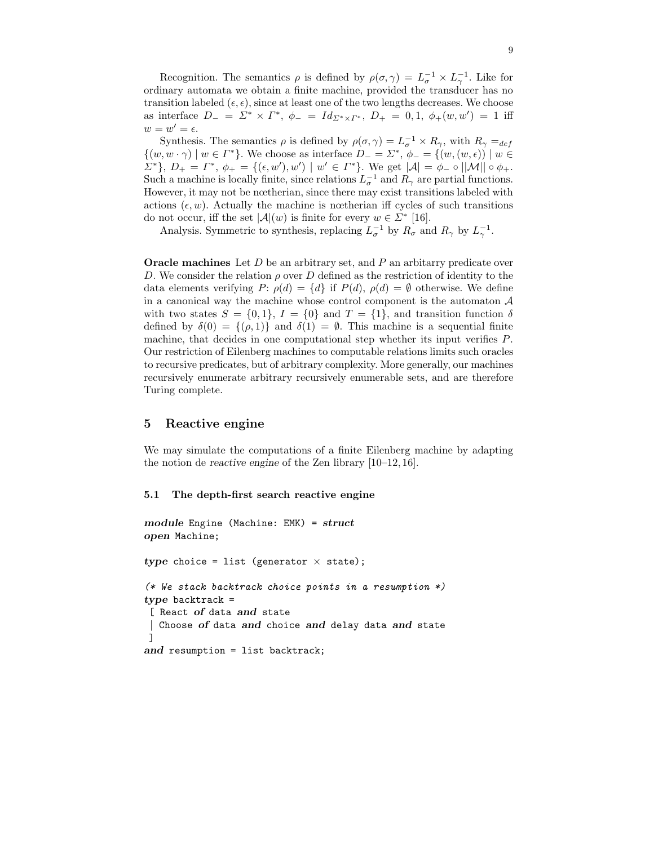Recognition. The semantics  $\rho$  is defined by  $\rho(\sigma, \gamma) = L_{\sigma}^{-1} \times L_{\gamma}^{-1}$ . Like for ordinary automata we obtain a finite machine, provided the transducer has no transition labeled  $(\epsilon, \epsilon)$ , since at least one of the two lengths decreases. We choose as interface  $D_- = \Sigma^* \times \Gamma^*$ ,  $\phi_- = Id_{\Sigma^* \times \Gamma^*}$ ,  $D_+ = 0, 1, \phi_+(w, w') = 1$  iff  $w=w'=\epsilon.$ 

Synthesis. The semantics  $\rho$  is defined by  $\rho(\sigma, \gamma) = L_{\sigma}^{-1} \times R_{\gamma}$ , with  $R_{\gamma} =_{def}$  $\{(w, w \cdot \gamma) \mid w \in \Gamma^*\}.$  We choose as interface  $D_- = \Sigma^*, \phi_- = \{(w, (w, \epsilon)) \mid w \in \Gamma\}$  $\Sigma^*$ ,  $D_+ = \Gamma^*, \phi_+ = \{(\epsilon, w'), w'\} \mid w' \in \Gamma^*\}.$  We get  $|\mathcal{A}| = \phi_- \circ ||\mathcal{M}|| \circ \phi_+.$ Such a machine is locally finite, since relations  $L_{\sigma}^{-1}$  and  $R_{\gamma}$  are partial functions. However, it may not be nœtherian, since there may exist transitions labeled with actions  $(\epsilon, w)$ . Actually the machine is nœtherian iff cycles of such transitions do not occur, iff the set  $|\mathcal{A}|(w)$  is finite for every  $w \in \mathbb{Z}^*$  [16].

Analysis. Symmetric to synthesis, replacing  $L_{\sigma}^{-1}$  by  $R_{\sigma}$  and  $R_{\gamma}$  by  $L_{\gamma}^{-1}$ .

**Oracle machines** Let  $D$  be an arbitrary set, and  $P$  an arbitarry predicate over D. We consider the relation  $\rho$  over D defined as the restriction of identity to the data elements verifying  $P: \rho(d) = \{d\}$  if  $P(d), \rho(d) = \emptyset$  otherwise. We define in a canonical way the machine whose control component is the automaton  $\mathcal A$ with two states  $S = \{0, 1\}$ ,  $I = \{0\}$  and  $T = \{1\}$ , and transition function  $\delta$ defined by  $\delta(0) = \{(\rho, 1)\}\$ and  $\delta(1) = \emptyset$ . This machine is a sequential finite machine, that decides in one computational step whether its input verifies P. Our restriction of Eilenberg machines to computable relations limits such oracles to recursive predicates, but of arbitrary complexity. More generally, our machines recursively enumerate arbitrary recursively enumerable sets, and are therefore Turing complete.

# 5 Reactive engine

We may simulate the computations of a finite Eilenberg machine by adapting the notion de reactive engine of the Zen library [10–12, 16].

#### 5.1 The depth-first search reactive engine

```
module Engine (Machine: EMK) = struct
open Machine;
type choice = list (generator \times state);
(* We stack backtrack choice points in a resumption *)
type backtrack =
[ React of data and state
  Choose of data and choice and delay data and state
]
and resumption = list backtrack;
```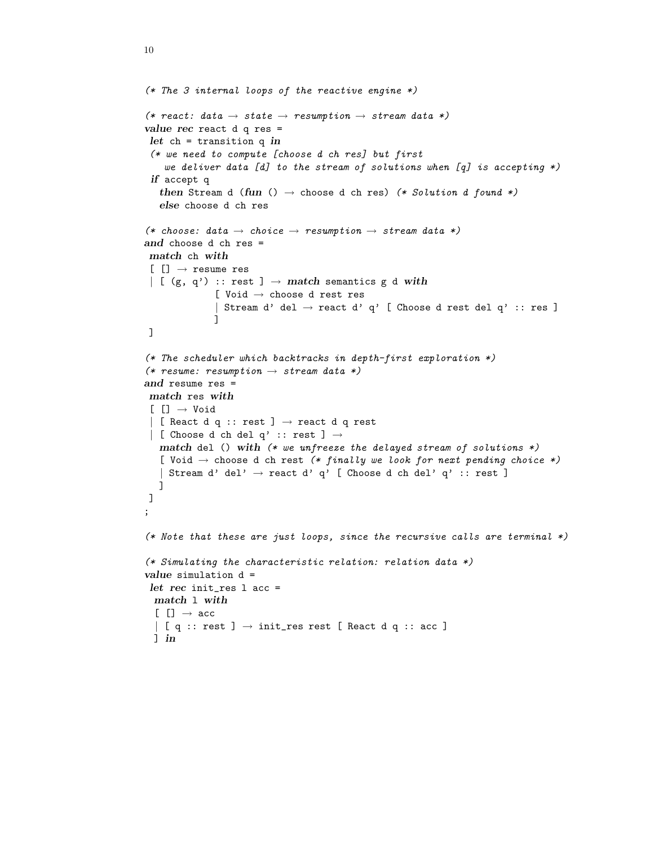```
(* The 3 internal loops of the reactive engine *)(* react: data \rightarrow state \rightarrow resumption \rightarrow stream data *)
value rec react d q res =
let ch = transition q in
 (* we need to compute [choose d ch res] but first
    we deliver data [d] to the stream of solutions when [q] is accepting *)if accept q
   then Stream d (fun () \rightarrow choose d ch res) (* Solution d found *)
   else choose d ch res
(* choose: data \rightarrow choice \rightarrow resumption \rightarrow stream data *)
and choose d ch res =
match ch with
[[] \rightarrow \text{resume res}]| [ (g, q') :: rest ] \rightarrow match semantics g d with
              [ Void \rightarrow choose d rest res
              | Stream d' del \rightarrow react d' q' [ Choose d rest del q' :: res ]
              ]
]
(* The scheduler which backtracks in depth-first exploration *)
(* resume: resumption \rightarrow stream data *)
and resume res =
match res with
[[] \rightarrow Void| [ React d q :: rest ] \rightarrow react d q rest
\vert [ Choose d ch del q' :: rest ] \rightarrowmatch del () with (* we unfreeze the delayed stream of solutions *)
   [ Void \rightarrow choose d ch rest (* finally we look for next pending choice *)
   | Stream d' del' \rightarrow react d' q' [ Choose d ch del' q' :: rest ]
  ]
]
;
(* Note that these are just loops, since the recursive calls are terminal *)(* Simulating the characteristic relation: relation data *)
value simulation d =
let rec init_res l acc =
 match l with
  [[] \rightarrow acc| [ q :: rest ] \rightarrow init\_res \, rest [ React d q :: acc ]
 ] in
```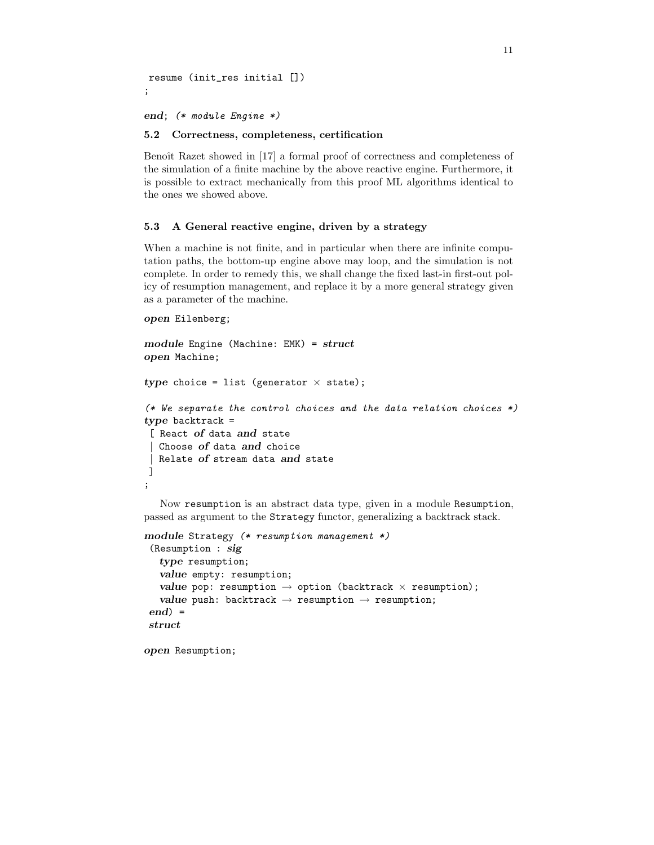resume (init\_res initial []) ;

end; (\* module Engine \*)

#### 5.2 Correctness, completeness, certification

Benoît Razet showed in [17] a formal proof of correctness and completeness of the simulation of a finite machine by the above reactive engine. Furthermore, it is possible to extract mechanically from this proof ML algorithms identical to the ones we showed above.

#### 5.3 A General reactive engine, driven by a strategy

When a machine is not finite, and in particular when there are infinite computation paths, the bottom-up engine above may loop, and the simulation is not complete. In order to remedy this, we shall change the fixed last-in first-out policy of resumption management, and replace it by a more general strategy given as a parameter of the machine.

```
open Eilenberg;
```

```
module Engine (Machine: EMK) = struct
open Machine;
type choice = list (generator \times state);
(* We separate the control choices and the data relation choices *)type backtrack =
[ React of data and state
  Choose of data and choice
  Relate of stream data and state
]
;
```
Now resumption is an abstract data type, given in a module Resumption, passed as argument to the Strategy functor, generalizing a backtrack stack.

```
module Strategy (* resumption management *)
 (Resumption : sig
   type resumption;
   value empty: resumption;
   value pop: resumption \rightarrow option (backtrack \times resumption);
   value push: backtrack \rightarrow resumption \rightarrow resumption;
end =
struct
```
open Resumption;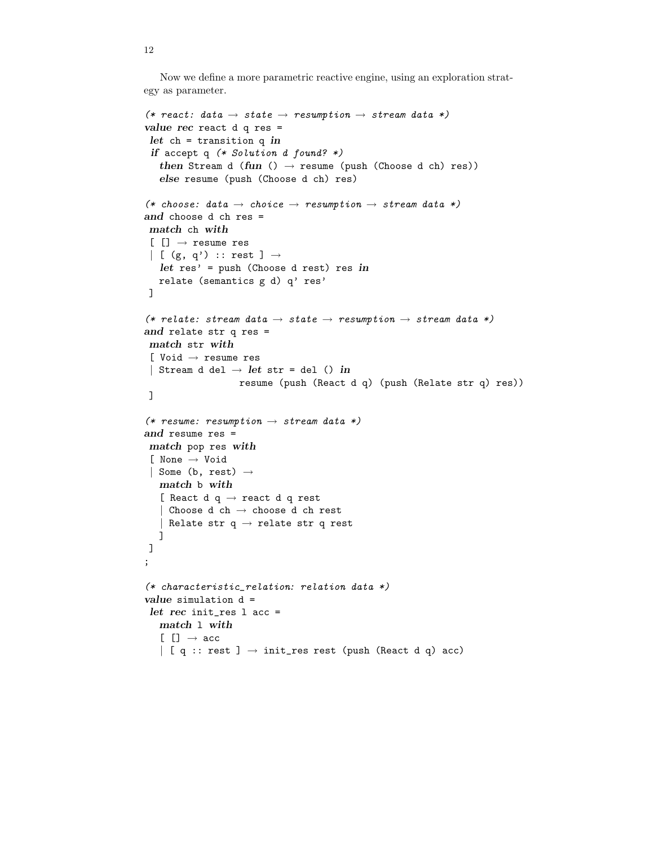Now we define a more parametric reactive engine, using an exploration strategy as parameter.

```
(* react: data \rightarrow state \rightarrow resumption \rightarrow stream data *)
value rec react d q res =
 let ch = transition q inif accept q (* Solution d found? *)then Stream d (fun () \rightarrow resume (push (Choose d ch) res))
   else resume (push (Choose d ch) res)
(* choose: data \rightarrow choice \rightarrow resumption \rightarrow stream data *)
and choose d ch res =
match ch with
 [[] \rightarrow \text{resume res}]| [ (g, q') :: rest ] \rightarrowlet res' = push (Choose d rest) res in
  relate (semantics g d) q' res'
]
(* relate: stream data \rightarrow state \rightarrow resumption \rightarrow stream data *)
and relate str q res =
match str with
 [ Void → resume res
 | Stream d del \rightarrow let str = del () in
                    resume (push (React d q) (push (Relate str q) res))
]
(* resume: resumption \rightarrow stream data *)
and resume res =
match pop res with
 [ None → Void
 | Some (b, rest) \rightarrowmatch b with
   [ React d q \rightarrow react d q rest
   | Choose d ch \rightarrow choose d ch rest
   | Relate str q \rightarrow relate str q rest
   ]
]
;
(* characteristic_relation: relation data *)
value simulation d =
 let rec init_res l acc =
   match l with
   [[] \rightarrow acc| [ q :: rest ] \rightarrow init_res rest (push (React d q) acc)
```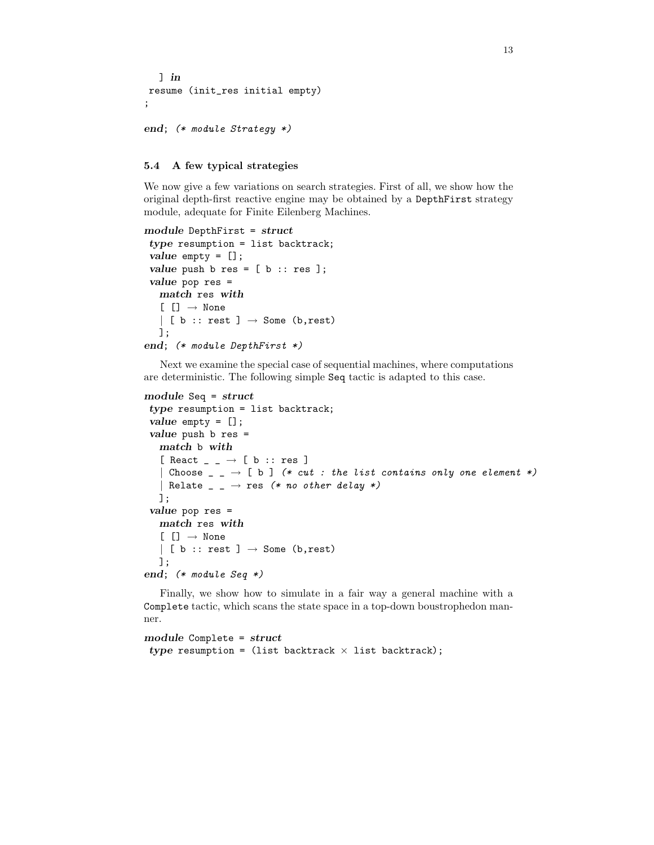```
] in
resume (init_res initial empty)
;
```

```
end; (* module Strategy *)
```
### 5.4 A few typical strategies

We now give a few variations on search strategies. First of all, we show how the original depth-first reactive engine may be obtained by a DepthFirst strategy module, adequate for Finite Eilenberg Machines.

```
module DepthFirst = struct
 type resumption = list backtrack;
 value empty = [];
 value push b res = [b :: res];
 value pop res =
   match res with
   \lceil \lceil \cdot \rceil \rceil \rightarrow \text{None}| [ b :: rest ] \rightarrow Some (b, rest)
   ];
end; (* module DepthFirst *)
```
Next we examine the special case of sequential machines, where computations are deterministic. The following simple Seq tactic is adapted to this case.

```
module Seq = struct
```

```
type resumption = list backtrack;
 value empty = [];
 value push b res =
   match b with
   [ React \Box \rightarrow [ b :: res ]
     Choose \Box \rightarrow [b] (* cut : the list contains only one element *)
    | Relate \overline{\phantom{a}} \overline{\phantom{a}} \rightarrow res (* no other delay *)
   ];
 value pop res =
   match res with
   [[] \rightarrow None| [ b :: rest ] \rightarrow Some (b, rest)
   ];
end; (* module Seq *)
```
Finally, we show how to simulate in a fair way a general machine with a Complete tactic, which scans the state space in a top-down boustrophedon manner.

```
module Complete = struct
type resumption = (list backtrack \times list backtrack);
```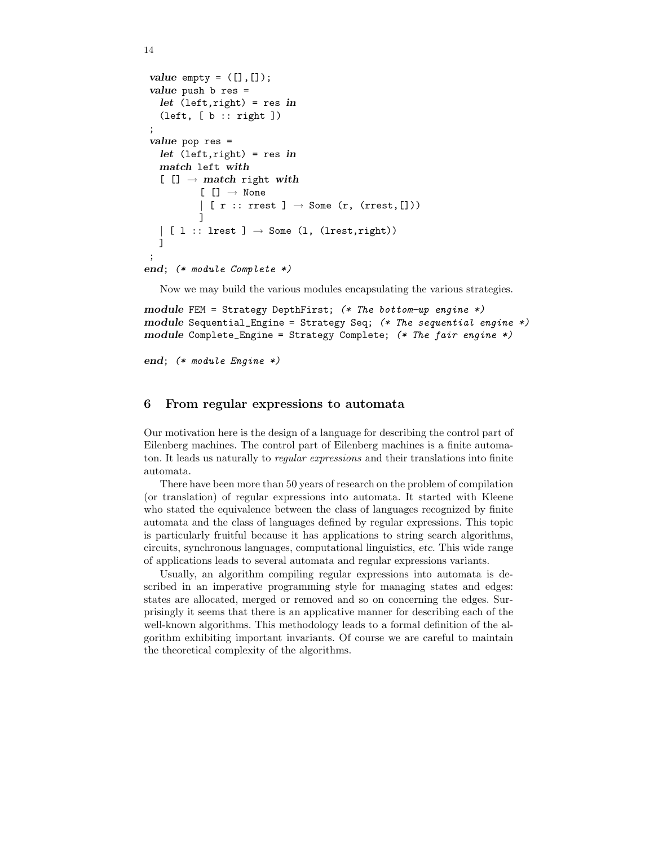```
value empty = ([], []);
 value push b res =
   let (left, right) = res in
   (left, [ b :: right ])
 ;
 value pop res =
   let (left, right) = res in
   match left with
   [ [] \rightarrow match right with
           [[] \rightarrow None| [ r :: rrest ] \rightarrow Some (r, (rrest,[]))
            ]
   \vert [ 1 :: lrest ] \rightarrow Some (1, (lrest, right))
   ]
 ;
end; (* module Complete *)
```
Now we may build the various modules encapsulating the various strategies.

```
module FEM = Strategy DepthFirst; (* The bottom-up engine *)module Sequential_Engine = Strategy Seq; (* The sequential engine *)
module Complete_Engine = Strategy Complete; (* The fair engine *)
```
end; (\* module Engine \*)

# 6 From regular expressions to automata

Our motivation here is the design of a language for describing the control part of Eilenberg machines. The control part of Eilenberg machines is a finite automaton. It leads us naturally to regular expressions and their translations into finite automata.

There have been more than 50 years of research on the problem of compilation (or translation) of regular expressions into automata. It started with Kleene who stated the equivalence between the class of languages recognized by finite automata and the class of languages defined by regular expressions. This topic is particularly fruitful because it has applications to string search algorithms, circuits, synchronous languages, computational linguistics, etc. This wide range of applications leads to several automata and regular expressions variants.

Usually, an algorithm compiling regular expressions into automata is described in an imperative programming style for managing states and edges: states are allocated, merged or removed and so on concerning the edges. Surprisingly it seems that there is an applicative manner for describing each of the well-known algorithms. This methodology leads to a formal definition of the algorithm exhibiting important invariants. Of course we are careful to maintain the theoretical complexity of the algorithms.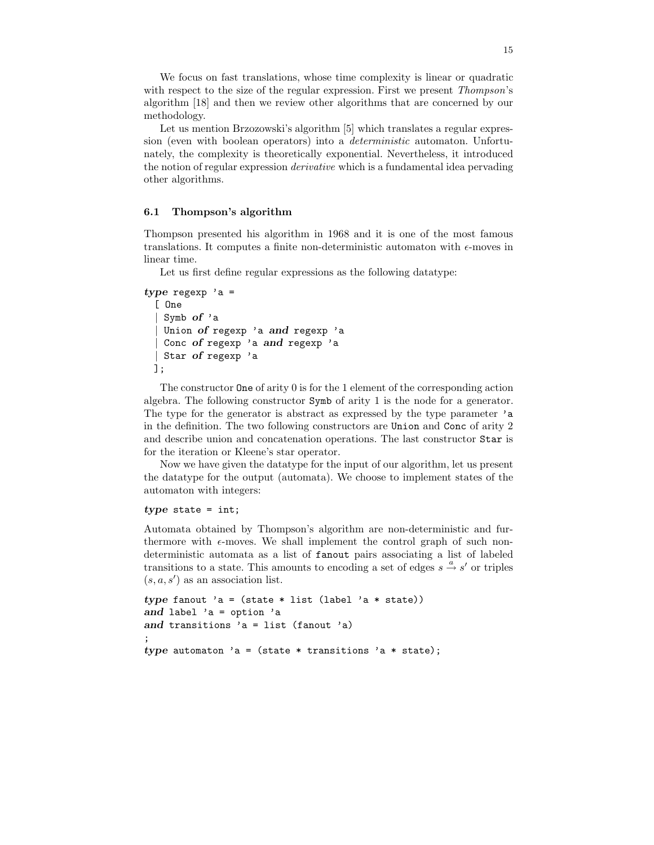We focus on fast translations, whose time complexity is linear or quadratic with respect to the size of the regular expression. First we present *Thompson's* algorithm [18] and then we review other algorithms that are concerned by our methodology.

Let us mention Brzozowski's algorithm [5] which translates a regular expression (even with boolean operators) into a *deterministic* automaton. Unfortunately, the complexity is theoretically exponential. Nevertheless, it introduced the notion of regular expression derivative which is a fundamental idea pervading other algorithms.

#### 6.1 Thompson's algorithm

Thompson presented his algorithm in 1968 and it is one of the most famous translations. It computes a finite non-deterministic automaton with  $\epsilon$ -moves in linear time.

Let us first define regular expressions as the following datatype:

```
type regexp 'a =
  [ One
   Symb of 'a
   Union of regexp 'a and regexp 'a
   Conc of regexp 'a and regexp 'a
   Star of regexp 'a
 ];
```

```
The constructor One of arity 0 is for the 1 element of the corresponding action
algebra. The following constructor Symb of arity 1 is the node for a generator.
The type for the generator is abstract as expressed by the type parameter 'a
in the definition. The two following constructors are Union and Conc of arity 2
and describe union and concatenation operations. The last constructor Star is
for the iteration or Kleene's star operator.
```
Now we have given the datatype for the input of our algorithm, let us present the datatype for the output (automata). We choose to implement states of the automaton with integers:

# $type$  state = int;

Automata obtained by Thompson's algorithm are non-deterministic and furthermore with  $\epsilon$ -moves. We shall implement the control graph of such nondeterministic automata as a list of fanout pairs associating a list of labeled transitions to a state. This amounts to encoding a set of edges  $s \stackrel{a}{\rightarrow} s'$  or triples  $(s, a, s')$  as an association list.

```
type fanout 'a = (state * list (label 'a * state))
and label 'a = option 'a
and transitions 'a = list (fanout 'a)
;
type automaton 'a = (state * transitions 'a * state);
```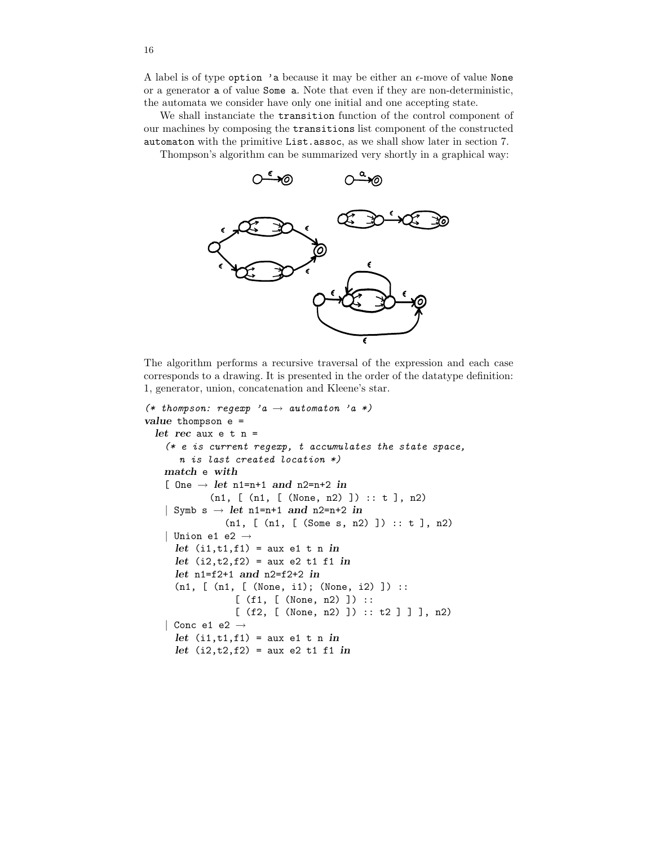A label is of type option 'a because it may be either an  $\epsilon$ -move of value None or a generator a of value Some a. Note that even if they are non-deterministic, the automata we consider have only one initial and one accepting state.

We shall instanciate the transition function of the control component of our machines by composing the transitions list component of the constructed automaton with the primitive List.assoc, as we shall show later in section 7.

Thompson's algorithm can be summarized very shortly in a graphical way:



The algorithm performs a recursive traversal of the expression and each case corresponds to a drawing. It is presented in the order of the datatype definition: 1, generator, union, concatenation and Kleene's star.

```
(* thompson: regexp 'a \rightarrow automaton 'a *)
value thompson e =
  let rec aux e t n =
    (* e is current regexp, t accumulates the state space,
       n is last created location *)
   match e with
    [ One \rightarrow let n1=n+1 and n2=n+2 in
             (n1, [ (n1, [ (None, n2) ]) :: t ], n2)
    | Symb s \rightarrow let n1=n+1 and n2=n+2 in
                (n1, [ (n1, [ (Some s, n2) ]) :: t ], n2)
    | Union e1 e2 \rightarrowlet (i1, t1, f1) = aux e1 t n in
      let (i2, t2, f2) = aux e2 t1 f1 inlet n1=f2+1 and n2=f2+2 in
      (n1, [ (n1, [ (None, i1); (None, i2) ]) ::
                  [ (f1, [ (None, n2) ]) ::
                  [ (f2, [ (None, n2) ] ) :: t2 ] ] ], n2)
    | Conc e1 e2 \rightarrowlet (i1,t1,f1) = aux e1 t n in
      let (i2, t2, f2) = aux e2 t1 f1 in
```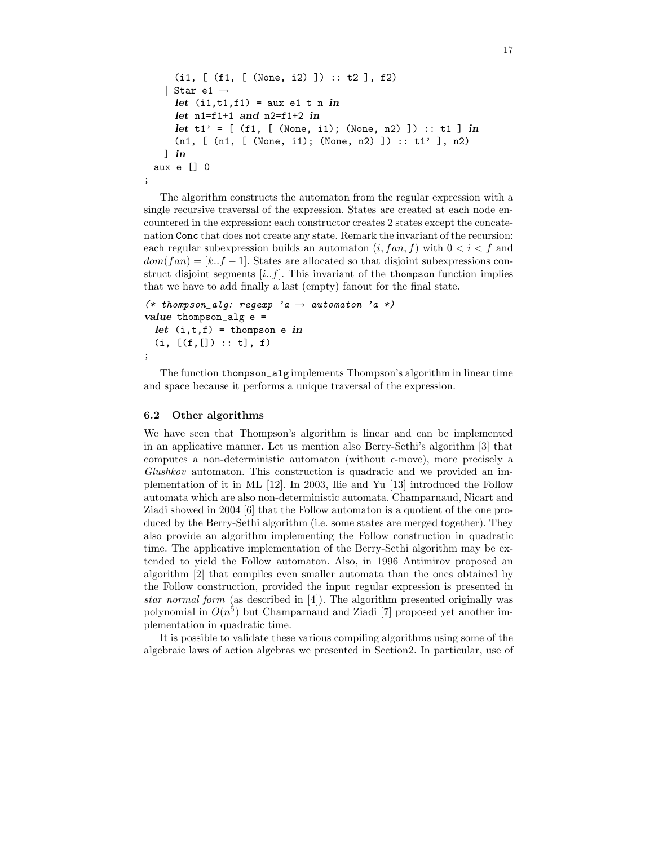```
(i1, [ (f1, [ (None, i2) ]) :: t2 ], f2)
   Star e1 \rightarrowlet (i1, t1, f1) = aux e1 t n in
    let n1=f1+1 and n2=f1+2 in
    let t1' = [ (f1, [ (None, i1); (None, n2) ] ) :: t1 ] in
    (n1, [ (n1, [ (None, i1); (None, n2) ]) :: t1' ], n2)
  ] in
aux e [] 0
```
The algorithm constructs the automaton from the regular expression with a single recursive traversal of the expression. States are created at each node encountered in the expression: each constructor creates 2 states except the concatenation Conc that does not create any state. Remark the invariant of the recursion: each regular subexpression builds an automaton  $(i, fan, f)$  with  $0 < i < f$  and  $dom(fan) = [k..f-1]$ . States are allocated so that disjoint subexpressions construct disjoint segments  $[i..f]$ . This invariant of the thompson function implies that we have to add finally a last (empty) fanout for the final state.

```
(*$~thompson_alg:~regexp~'a \rightarrow~automaton~'a~*)value thompson_alg e =
  let (i, t, f) = thompson e in
  (i, [(f, []): : t], f);
```
The function thompson\_alg implements Thompson's algorithm in linear time and space because it performs a unique traversal of the expression.

#### 6.2 Other algorithms

;

We have seen that Thompson's algorithm is linear and can be implemented in an applicative manner. Let us mention also Berry-Sethi's algorithm [3] that computes a non-deterministic automaton (without  $\epsilon$ -move), more precisely a Glushkov automaton. This construction is quadratic and we provided an implementation of it in ML [12]. In 2003, Ilie and Yu [13] introduced the Follow automata which are also non-deterministic automata. Champarnaud, Nicart and Ziadi showed in 2004 [6] that the Follow automaton is a quotient of the one produced by the Berry-Sethi algorithm (i.e. some states are merged together). They also provide an algorithm implementing the Follow construction in quadratic time. The applicative implementation of the Berry-Sethi algorithm may be extended to yield the Follow automaton. Also, in 1996 Antimirov proposed an algorithm [2] that compiles even smaller automata than the ones obtained by the Follow construction, provided the input regular expression is presented in star normal form (as described in [4]). The algorithm presented originally was polynomial in  $O(n^5)$  but Champarnaud and Ziadi [7] proposed yet another implementation in quadratic time.

It is possible to validate these various compiling algorithms using some of the algebraic laws of action algebras we presented in Section2. In particular, use of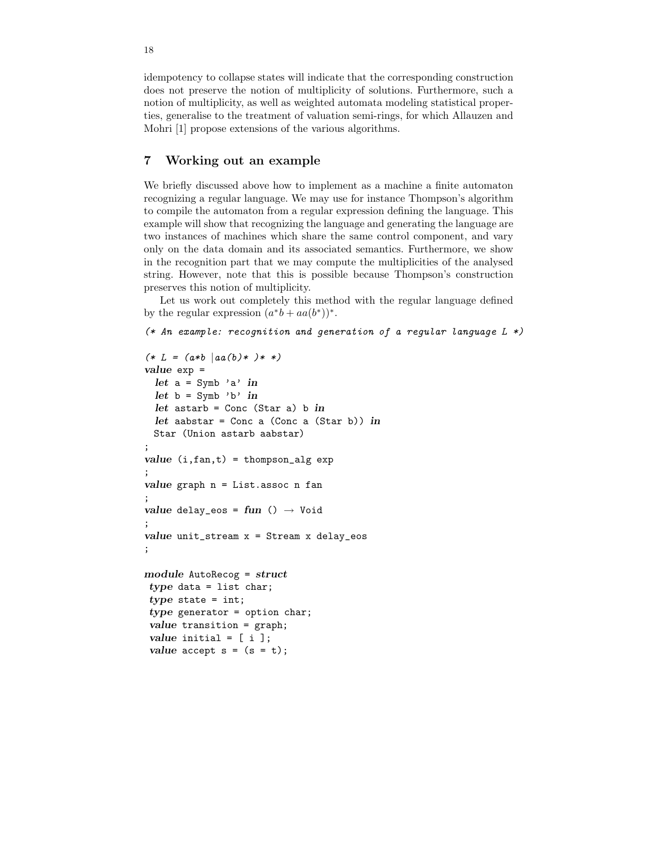idempotency to collapse states will indicate that the corresponding construction does not preserve the notion of multiplicity of solutions. Furthermore, such a notion of multiplicity, as well as weighted automata modeling statistical properties, generalise to the treatment of valuation semi-rings, for which Allauzen and Mohri [1] propose extensions of the various algorithms.

# 7 Working out an example

We briefly discussed above how to implement as a machine a finite automaton recognizing a regular language. We may use for instance Thompson's algorithm to compile the automaton from a regular expression defining the language. This example will show that recognizing the language and generating the language are two instances of machines which share the same control component, and vary only on the data domain and its associated semantics. Furthermore, we show in the recognition part that we may compute the multiplicities of the analysed string. However, note that this is possible because Thompson's construction preserves this notion of multiplicity.

Let us work out completely this method with the regular language defined by the regular expression  $(a^*b + aa(b^*))^*$ .

```
(* An example: recognition and generation of a regular language L *)
```

```
(* L = (a * b | aa(b) * ) * *)value exp =
 let a = Symb 'a' in
 let b = Symb 'b' in
 let astarb = Conc (Star a) b in
 let aabstar = Conc a (Conc a (Star b)) in
 Star (Union astarb aabstar)
;
value (i, fan, t) = thompson_alg exp;
value graph n = List.assoc n fan
;
value delay_eos = fun () \rightarrow Void
;
value unit_stream x = Stream x delay_eos
;
module AutoRecog = struct
type data = list char;
type state = int;
type generator = option char;
value transition = graph;
value initial = [i];
value accept s = (s = t);
```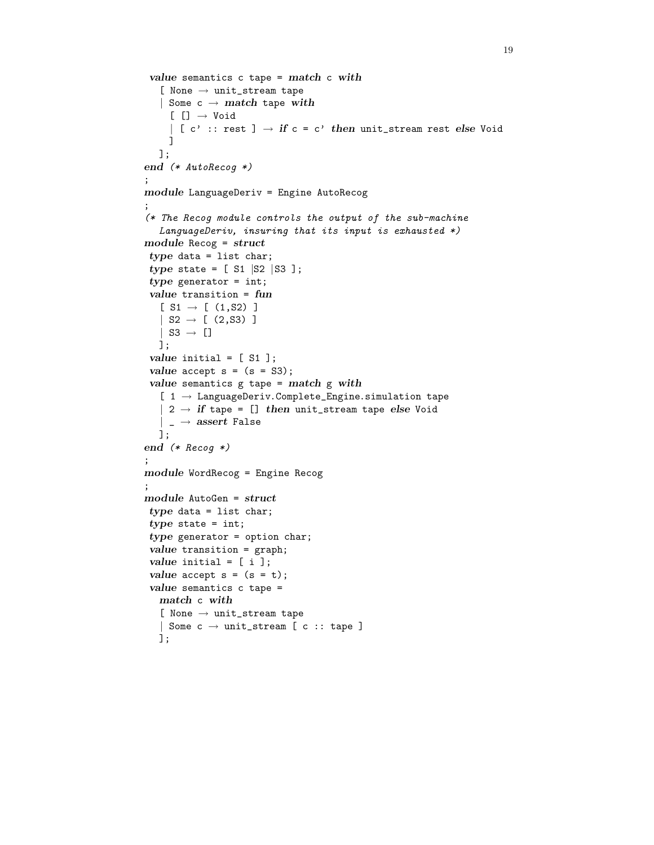```
19
```

```
value semantics c tape = match c with
   [ None \rightarrow unit_stream tape
   | Some c \rightarrow match tape with
     [[] \rightarrow Void| [ c' :: rest ] \rightarrow if c = c' then unit_stream rest else Void
    ]
  ];
end (* AutoRecog *)
;
module LanguageDeriv = Engine AutoRecog
;
(* The Recog module controls the output of the sub-machine
   LanguageDeriv, insuring that its input is exhausted *)module Recog = struct
type data = list char;
type state = [ S1 |S2 |S3 ];
type generator = int;
value transition = fun
  [ S1 \rightarrow [ (1, S2) ]| S2 \rightarrow [ (2, S3) ]
   | S3 \rightarrow []
  ];
value initial = [ S1 ];
value accept s = (s = S3);value semantics g tape = match g with
   [1 \rightarrow LanguageDeriv.Complete_Engine.simulation tape
   | 2 \rightarrow if tape = [] then unit_stream tape else Void
   | _{-} \rightarrow assert False
  ];
end (* Recog *);
module WordRecog = Engine Recog
;
module AutoGen = struct
type data = list char;
type state = int;
type generator = option char;
value transition = graph;
value initial = [i];
value accept s = (s = t);value semantics c tape =
  match c with
   [ None \rightarrow unit_stream tape
   | Some c \rightarrow unit_stream [ c :: tape ]
  ];
```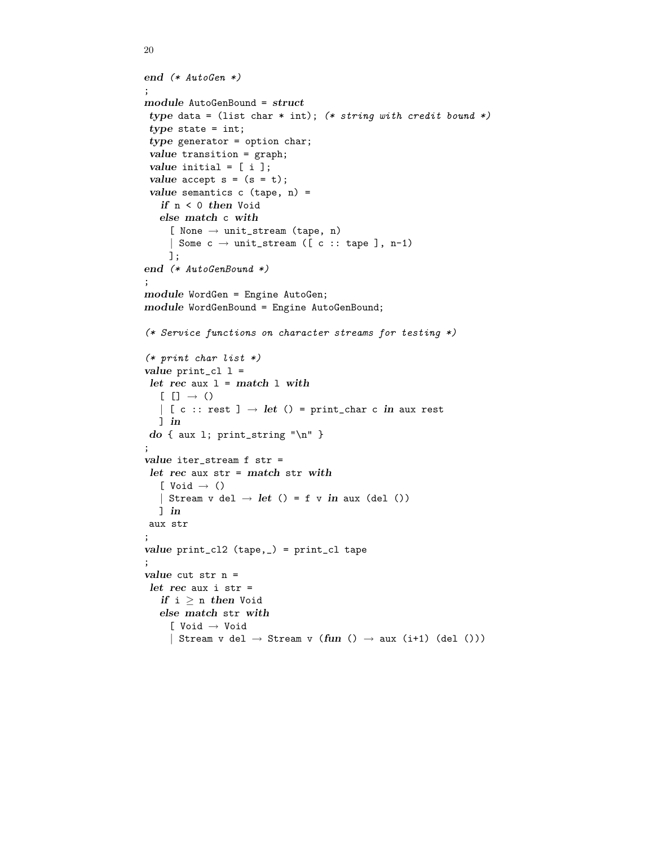```
end (* AutoGen *)
;
module AutoGenBound = struct
type data = (list char * int); (* string with credit bound *)type state = int;
type generator = option char;
value transition = graph;
value initial = [i];
value accept s = (s = t);value semantics c (tape, n) =
   if n < 0 then Void
  else match c with
     [ None \rightarrow unit_stream (tape, n)
     | Some c \rightarrow \text{unit}\_ \text{stream} ([c :: \text{tape }], n-1)
    ];
end (* AutoGenBound *)
;
module WordGen = Engine AutoGen;
module WordGenBound = Engine AutoGenBound;
(* Service functions on character streams for testing *)
(* print char list *)
value print_c1 =let rec aux l = match \ l \ with[ [ ] \rightarrow ()| [ c :: rest ] \rightarrow let () = print_char c in aux rest
  ] in
do { aux 1; print_string "\n" }
;
value iter_stream f str =
let rec aux str = match str with
   [ Void \rightarrow ()
   | Stream v del \rightarrow let () = f v in aux (del ())
  ] in
aux str
;
value print_cl2 (tape,_) = print_cl tape
;
value cut str n =
let rec aux i str =if i \geq n then Void
   else match str with
     [ Void → Void
     | Stream v del \rightarrow Stream v (fun () \rightarrow aux (i+1) (del ()))
```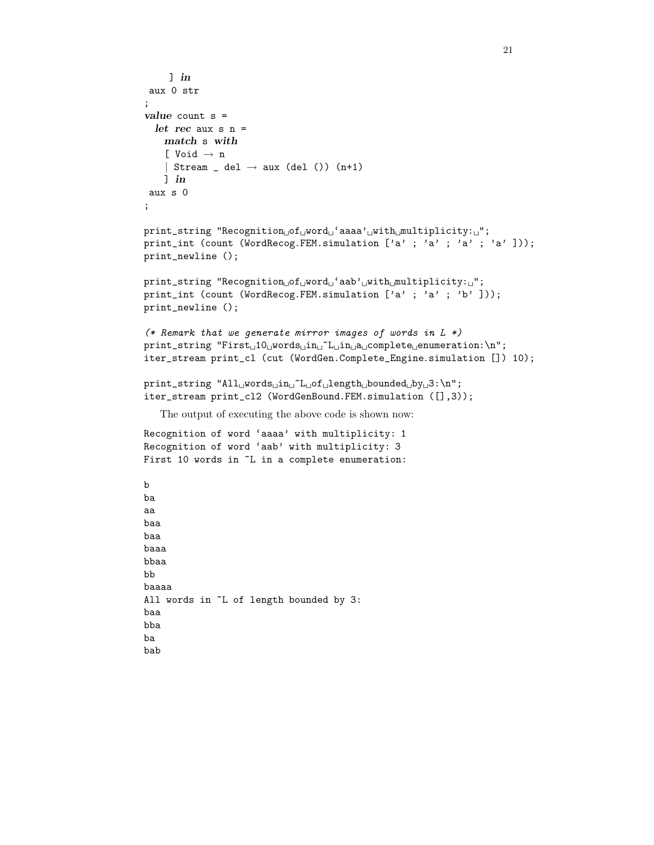```
\lnaux 0 str
;
value count s =let rec aux s n =match s with
    [ Void \rightarrow n
    | Stream _{-} del \rightarrow aux (del ()) (n+1)
    ] in
 aux s 0
;
print_string "Recognition of_1 word ' aaaa', with multiplicity: '';
print_int (count (WordRecog.FEM.simulation ['a' ; 'a' ; 'a' ; 'a' ]));
print_newline ();
print\_string "Recognition_{\cup}of_{\cup}word_{\cup}'aab'_{\cup}with_{\cup}multiplicity:_{\cup}";
print_int (count (WordRecog.FEM.simulation ['a' ; 'a' ; 'b' ]));
print_newline ();
(* Remark that we generate mirror images of words in L *)
print\_string "First_{\cup}10_{\cup}words_{\cup}in_{\cup}7L_{\cup}in_{\cup}a_{\cup}complete_{\cup} enumeration:\nu",iter_stream print_cl (cut (WordGen.Complete_Engine.simulation []) 10);
\verb|print_string "All_words_\textrm{u}^L_\textrm{u}of_\textrm{u} \textrm{length}_\textrm{u}bounded_\textrm{u}by_\textrm{u}3:\verb|\n";iter_stream print_cl2 (WordGenBound.FEM.simulation ([],3));
   The output of executing the above code is shown now:
Recognition of word 'aaaa' with multiplicity: 1
Recognition of word 'aab' with multiplicity: 3
First 10 words in \tilde{}L in a complete enumeration:
b
ba
aa
baa
baa
baaa
bbaa
bb
baaaa
All words in ~L of length bounded by 3:
baa
```
bba ba bab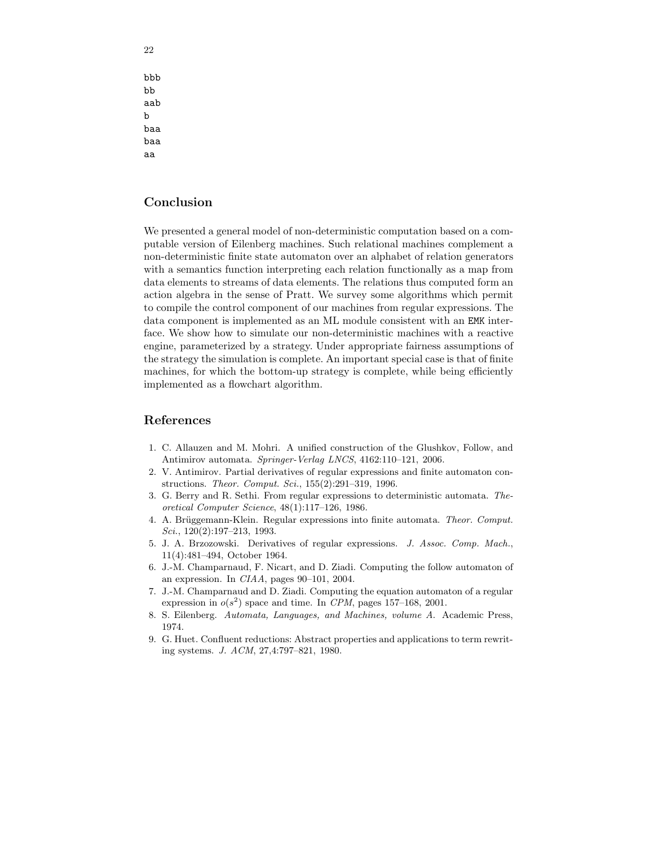bbb bb aab b baa baa aa

# Conclusion

We presented a general model of non-deterministic computation based on a computable version of Eilenberg machines. Such relational machines complement a non-deterministic finite state automaton over an alphabet of relation generators with a semantics function interpreting each relation functionally as a map from data elements to streams of data elements. The relations thus computed form an action algebra in the sense of Pratt. We survey some algorithms which permit to compile the control component of our machines from regular expressions. The data component is implemented as an ML module consistent with an EMK interface. We show how to simulate our non-deterministic machines with a reactive engine, parameterized by a strategy. Under appropriate fairness assumptions of the strategy the simulation is complete. An important special case is that of finite machines, for which the bottom-up strategy is complete, while being efficiently implemented as a flowchart algorithm.

# References

- 1. C. Allauzen and M. Mohri. A unified construction of the Glushkov, Follow, and Antimirov automata. Springer-Verlag LNCS, 4162:110–121, 2006.
- 2. V. Antimirov. Partial derivatives of regular expressions and finite automaton constructions. Theor. Comput. Sci., 155(2):291–319, 1996.
- 3. G. Berry and R. Sethi. From regular expressions to deterministic automata. Theoretical Computer Science, 48(1):117–126, 1986.
- 4. A. Brüggemann-Klein. Regular expressions into finite automata. Theor. Comput.  $Sci., 120(2):197-213, 1993.$
- 5. J. A. Brzozowski. Derivatives of regular expressions. J. Assoc. Comp. Mach., 11(4):481–494, October 1964.
- 6. J.-M. Champarnaud, F. Nicart, and D. Ziadi. Computing the follow automaton of an expression. In CIAA, pages 90–101, 2004.
- 7. J.-M. Champarnaud and D. Ziadi. Computing the equation automaton of a regular expression in  $o(s^2)$  space and time. In CPM, pages 157-168, 2001.
- 8. S. Eilenberg. Automata, Languages, and Machines, volume A. Academic Press, 1974.
- 9. G. Huet. Confluent reductions: Abstract properties and applications to term rewriting systems. J. ACM, 27,4:797–821, 1980.